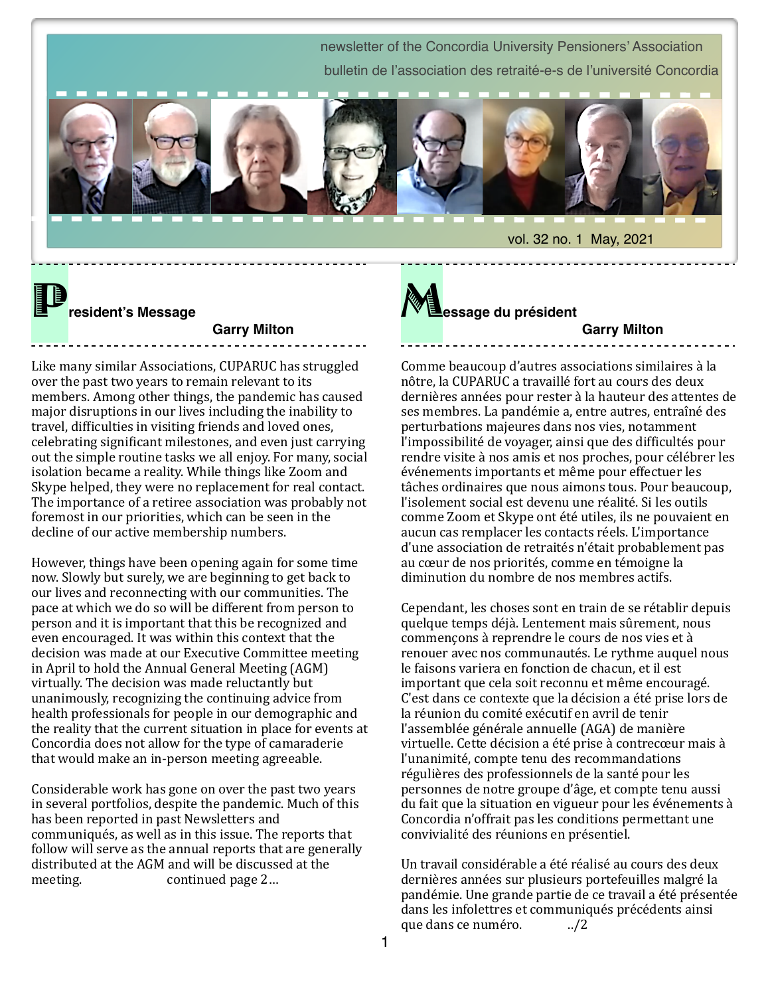newsletter of the Concordia University Pensioners' Association bulletin de l'association des retraité-e-s de l'université Concordia vol. 32 no. 1 May, 2021

P**resident's Message**

#### **Garry Milton**

Like many similar Associations, CUPARUC has struggled over the past two years to remain relevant to its members. Among other things, the pandemic has caused major disruptions in our lives including the inability to travel, difficulties in visiting friends and loved ones, celebrating significant milestones, and even just carrying out the simple routine tasks we all enjoy. For many, social isolation became a reality. While things like Zoom and Skype helped, they were no replacement for real contact. The importance of a retiree association was probably not foremost in our priorities, which can be seen in the decline of our active membership numbers.

However, things have been opening again for some time now. Slowly but surely, we are beginning to get back to our lives and reconnecting with our communities. The pace at which we do so will be different from person to person and it is important that this be recognized and even encouraged. It was within this context that the decision was made at our Executive Committee meeting in April to hold the Annual General Meeting (AGM) virtually. The decision was made reluctantly but unanimously, recognizing the continuing advice from health professionals for people in our demographic and the reality that the current situation in place for events at Concordia does not allow for the type of camaraderie that would make an in-person meeting agreeable.

Considerable work has gone on over the past two years in several portfolios, despite the pandemic. Much of this has been reported in past Newsletters and communiqués, as well as in this issue. The reports that follow will serve as the annual reports that are generally distributed at the AGM and will be discussed at the meeting. continued page 2...

M**essage du président**

#### **Garry Milton**

Comme beaucoup d'autres associations similaires à la nôtre, la CUPARUC a travaillé fort au cours des deux dernières années pour rester à la hauteur des attentes de ses membres. La pandémie a, entre autres, entraîné des perturbations majeures dans nos vies, notamment l'impossibilité de voyager, ainsi que des difficultés pour rendre visite à nos amis et nos proches, pour célébrer les événements importants et même pour effectuer les tâches ordinaires que nous aimons tous. Pour beaucoup, l'isolement social est devenu une réalité. Si les outils comme Zoom et Skype ont été utiles, ils ne pouvaient en aucun cas remplacer les contacts réels. L'importance d'une association de retraités n'était probablement pas au cœur de nos priorités, comme en témoigne la diminution du nombre de nos membres actifs.

Cependant, les choses sont en train de se rétablir depuis quelque temps déjà. Lentement mais sûrement, nous commençons à reprendre le cours de nos vies et à renouer avec nos communautés. Le rythme auquel nous le faisons variera en fonction de chacun, et il est important que cela soit reconnu et même encouragé. C'est dans ce contexte que la décision a été prise lors de la réunion du comité exécutif en avril de tenir l'assemblée générale annuelle (AGA) de manière virtuelle. Cette décision a été prise à contrecœur mais à l'unanimité, compte tenu des recommandations régulières des professionnels de la santé pour les personnes de notre groupe d'âge, et compte tenu aussi du fait que la situation en vigueur pour les événements à Concordia n'offrait pas les conditions permettant une convivialité des réunions en présentiel. 

Un travail considérable a été réalisé au cours des deux dernières années sur plusieurs portefeuilles malgré la pandémie. Une grande partie de ce travail a été présentée dans les infolettres et communiqués précédents ainsi que dans ce numéro. ../2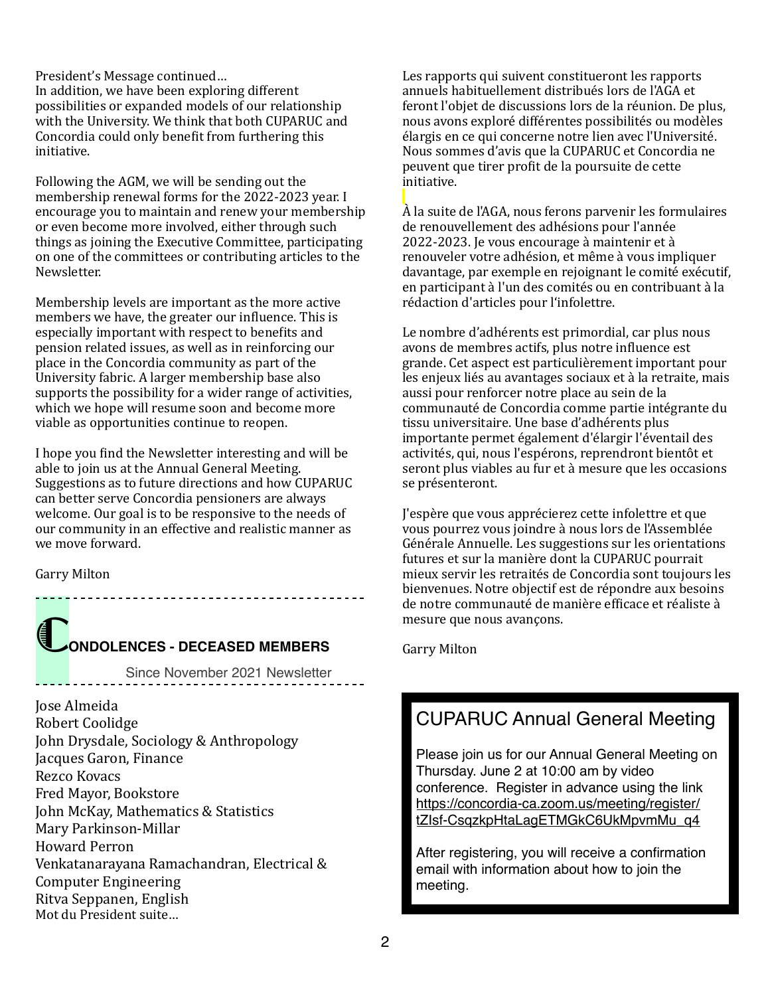President's Message continued... In addition, we have been exploring different possibilities or expanded models of our relationship with the University. We think that both CUPARUC and Concordia could only benefit from furthering this initiative.

Following the AGM, we will be sending out the membership renewal forms for the 2022-2023 year. I encourage you to maintain and renew your membership or even become more involved, either through such things as joining the Executive Committee, participating on one of the committees or contributing articles to the Newsletter. 

Membership levels are important as the more active members we have, the greater our influence. This is especially important with respect to benefits and pension related issues, as well as in reinforcing our place in the Concordia community as part of the University fabric. A larger membership base also supports the possibility for a wider range of activities, which we hope will resume soon and become more viable as opportunities continue to reopen.

I hope you find the Newsletter interesting and will be able to join us at the Annual General Meeting. Suggestions as to future directions and how CUPARUC can better serve Concordia pensioners are always welcome. Our goal is to be responsive to the needs of our community in an effective and realistic manner as we move forward.

Garry Milton

## C**ONDOLENCES - DECEASED MEMBERS**

Since November 2021 Newsletter

-------------------------------------

Jose Almeida Robert Coolidge John Drysdale, Sociology & Anthropology Jacques Garon, Finance Rezco Kovacs Fred Mayor, Bookstore John McKay, Mathematics & Statistics Mary Parkinson-Millar Howard Perron Venkatanarayana Ramachandran, Electrical & Computer Engineering Ritva Seppanen, English Mot du President suite...

Les rapports qui suivent constitueront les rapports annuels habituellement distribués lors de l'AGA et feront l'objet de discussions lors de la réunion. De plus, nous avons exploré différentes possibilités ou modèles élargis en ce qui concerne notre lien avec l'Université. Nous sommes d'avis que la CUPARUC et Concordia ne peuvent que tirer profit de la poursuite de cette initiative. 

 $\hat{A}$  la suite de l'AGA, nous ferons parvenir les formulaires de renouvellement des adhésions pour l'année  $2022-2023$ . Je vous encourage à maintenir et à renouveler votre adhésion, et même à vous impliquer davantage, par exemple en rejoignant le comité exécutif. en participant à l'un des comités ou en contribuant à la rédaction d'articles pour l'infolettre.

Le nombre d'adhérents est primordial, car plus nous avons de membres actifs, plus notre influence est grande. Cet aspect est particulièrement important pour les enjeux liés au avantages sociaux et à la retraite, mais aussi pour renforcer notre place au sein de la communauté de Concordia comme partie intégrante du tissu universitaire. Une base d'adhérents plus importante permet également d'élargir l'éventail des activités, qui, nous l'espérons, reprendront bientôt et seront plus viables au fur et à mesure que les occasions se présenteront.

l'espère que vous apprécierez cette infolettre et que vous pourrez vous joindre à nous lors de l'Assemblée Générale Annuelle. Les suggestions sur les orientations futures et sur la manière dont la CUPARUC pourrait mieux servir les retraités de Concordia sont toujours les bienvenues. Notre objectif est de répondre aux besoins de notre communauté de manière efficace et réaliste à mesure que nous avancons.

Garry Milton

## CUPARUC Annual General Meeting

Please join us for our Annual General Meeting on Thursday. June 2 at 10:00 am by video conference. Register in advance using the link [https://concordia-ca.zoom.us/meeting/register/](https://concordia-ca.zoom.us/meeting/register/tZIsf-CsqzkpHtaLagETMGkC6UkMpvmMu_q4) [tZIsf-CsqzkpHtaLagETMGkC6UkMpvmMu\\_q4](https://concordia-ca.zoom.us/meeting/register/tZIsf-CsqzkpHtaLagETMGkC6UkMpvmMu_q4)

After registering, you will receive a confirmation email with information about how to join the meeting.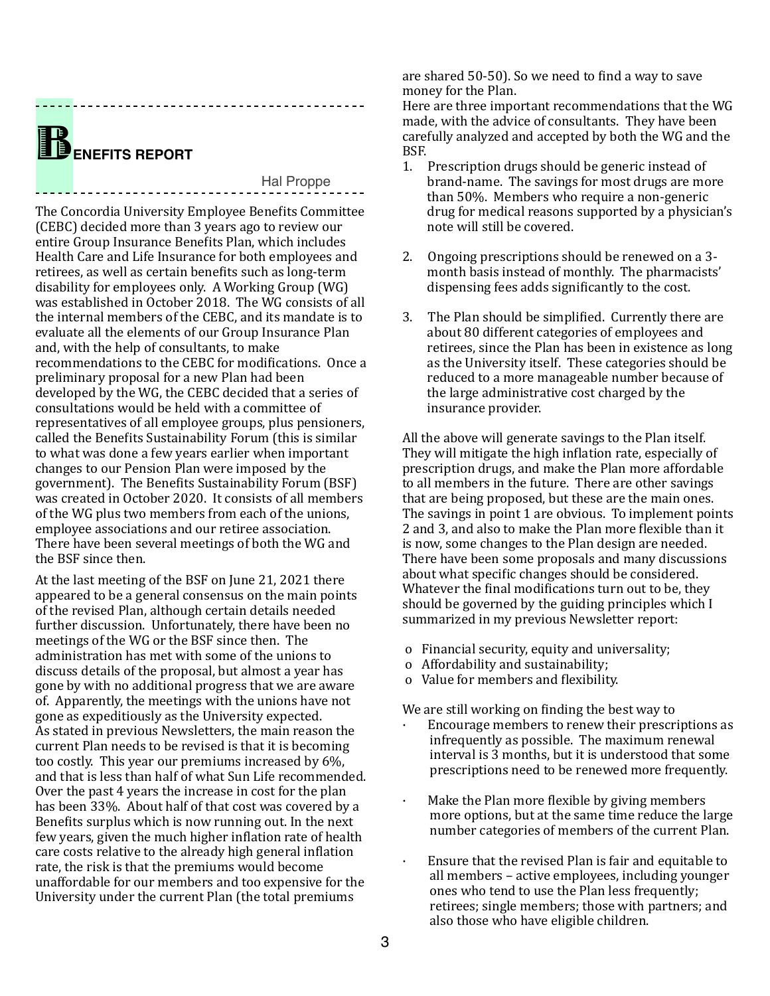## B**ENEFITS REPORT**

#### Hal Proppe

The Concordia University Employee Benefits Committee (CEBC) decided more than 3 years ago to review our entire Group Insurance Benefits Plan, which includes Health Care and Life Insurance for both employees and retirees, as well as certain benefits such as long-term disability for employees only. A Working Group (WG) was established in October 2018. The WG consists of all the internal members of the CEBC, and its mandate is to evaluate all the elements of our Group Insurance Plan and, with the help of consultants, to make recommendations to the CEBC for modifications. Once a preliminary proposal for a new Plan had been developed by the WG, the CEBC decided that a series of consultations would be held with a committee of representatives of all employee groups, plus pensioners, called the Benefits Sustainability Forum (this is similar to what was done a few years earlier when important changes to our Pension Plan were imposed by the government). The Benefits Sustainability Forum (BSF) was created in October 2020. It consists of all members of the WG plus two members from each of the unions, employee associations and our retiree association. There have been several meetings of both the WG and the BSF since then.

At the last meeting of the BSF on June 21, 2021 there appeared to be a general consensus on the main points of the revised Plan, although certain details needed further discussion. Unfortunately, there have been no meetings of the WG or the BSF since then. The administration has met with some of the unions to discuss details of the proposal, but almost a year has gone by with no additional progress that we are aware of. Apparently, the meetings with the unions have not gone as expeditiously as the University expected. As stated in previous Newsletters, the main reason the current Plan needs to be revised is that it is becoming too costly. This year our premiums increased by 6%, and that is less than half of what Sun Life recommended. Over the past 4 years the increase in cost for the plan has been 33%. About half of that cost was covered by a Benefits surplus which is now running out. In the next few years, given the much higher inflation rate of health care costs relative to the already high general inflation rate, the risk is that the premiums would become unaffordable for our members and too expensive for the University under the current Plan (the total premiums

are shared 50-50). So we need to find a way to save money for the Plan.

Here are three important recommendations that the WG made, with the advice of consultants. They have been carefully analyzed and accepted by both the WG and the BSF. 

- 1. Prescription drugs should be generic instead of brand-name. The savings for most drugs are more than 50%. Members who require a non-generic drug for medical reasons supported by a physician's note will still be covered.
- 2. Ongoing prescriptions should be renewed on a 3month basis instead of monthly. The pharmacists' dispensing fees adds significantly to the cost.
- 3. The Plan should be simplified. Currently there are about 80 different categories of employees and retirees, since the Plan has been in existence as long as the University itself. These categories should be reduced to a more manageable number because of the large administrative cost charged by the insurance provider.

All the above will generate savings to the Plan itself. They will mitigate the high inflation rate, especially of prescription drugs, and make the Plan more affordable to all members in the future. There are other savings that are being proposed, but these are the main ones. The savings in point 1 are obvious. To implement points 2 and 3, and also to make the Plan more flexible than it is now, some changes to the Plan design are needed. There have been some proposals and many discussions about what specific changes should be considered. Whatever the final modifications turn out to be, they should be governed by the guiding principles which I summarized in my previous Newsletter report:

- o Financial security, equity and universality;
- o Affordability and sustainability;
- o Value for members and flexibility.

We are still working on finding the best way to

- Encourage members to renew their prescriptions as infrequently as possible. The maximum renewal interval is 3 months, but it is understood that some prescriptions need to be renewed more frequently.
- $\cdot$  Make the Plan more flexible by giving members more options, but at the same time reduce the large number categories of members of the current Plan.
- Ensure that the revised Plan is fair and equitable to all members – active employees, including younger ones who tend to use the Plan less frequently; retirees; single members; those with partners; and also those who have eligible children.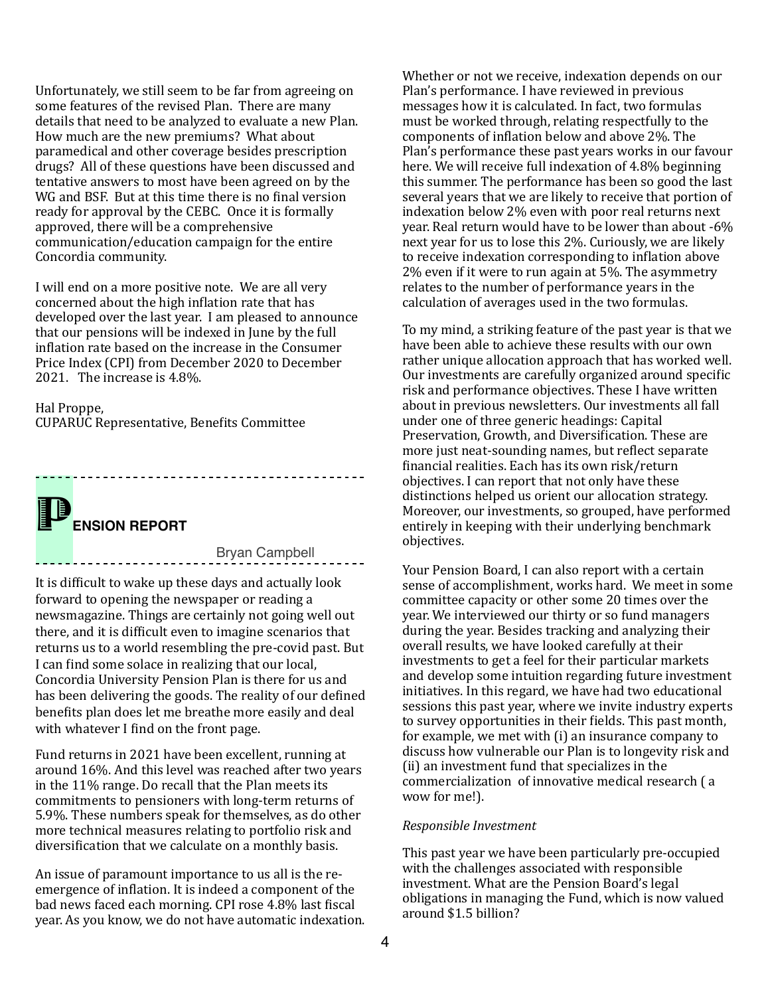Unfortunately, we still seem to be far from agreeing on some features of the revised Plan. There are many details that need to be analyzed to evaluate a new Plan. How much are the new premiums? What about paramedical and other coverage besides prescription drugs? All of these questions have been discussed and tentative answers to most have been agreed on by the WG and BSF. But at this time there is no final version ready for approval by the CEBC. Once it is formally approved, there will be a comprehensive communication/education campaign for the entire Concordia community. 

I will end on a more positive note. We are all very concerned about the high inflation rate that has developed over the last year. I am pleased to announce that our pensions will be indexed in June by the full inflation rate based on the increase in the Consumer Price Index (CPI) from December 2020 to December 2021. The increase is  $4.8\%$ .

#### Hal Proppe,

CUPARUC Representative, Benefits Committee

**ENSION REPORT** 

Bryan Campbell

It is difficult to wake up these days and actually look forward to opening the newspaper or reading a newsmagazine. Things are certainly not going well out there, and it is difficult even to imagine scenarios that returns us to a world resembling the pre-covid past. But I can find some solace in realizing that our local, Concordia University Pension Plan is there for us and has been delivering the goods. The reality of our defined benefits plan does let me breathe more easily and deal with whatever I find on the front page.

Fund returns in 2021 have been excellent, running at around 16%. And this level was reached after two vears in the  $11\%$  range. Do recall that the Plan meets its commitments to pensioners with long-term returns of 5.9%. These numbers speak for themselves, as do other more technical measures relating to portfolio risk and diversification that we calculate on a monthly basis.

An issue of paramount importance to us all is the reemergence of inflation. It is indeed a component of the bad news faced each morning. CPI rose 4.8% last fiscal year. As you know, we do not have automatic indexation.

Whether or not we receive, indexation depends on our Plan's performance. I have reviewed in previous messages how it is calculated. In fact, two formulas must be worked through, relating respectfully to the components of inflation below and above 2%. The Plan's performance these past years works in our favour here. We will receive full indexation of 4.8% beginning this summer. The performance has been so good the last several years that we are likely to receive that portion of indexation below 2% even with poor real returns next year. Real return would have to be lower than about -6% next vear for us to lose this  $2\%$ . Curiously, we are likely to receive indexation corresponding to inflation above  $2\%$  even if it were to run again at  $5\%$ . The asymmetry relates to the number of performance years in the calculation of averages used in the two formulas.

To my mind, a striking feature of the past year is that we have been able to achieve these results with our own rather unique allocation approach that has worked well. Our investments are carefully organized around specific risk and performance objectives. These I have written about in previous newsletters. Our investments all fall under one of three generic headings: Capital Preservation, Growth, and Diversification. These are more just neat-sounding names, but reflect separate financial realities. Each has its own risk/return objectives. I can report that not only have these distinctions helped us orient our allocation strategy. Moreover, our investments, so grouped, have performed entirely in keeping with their underlying benchmark objectives. 

Your Pension Board, I can also report with a certain sense of accomplishment, works hard. We meet in some committee capacity or other some 20 times over the year. We interviewed our thirty or so fund managers during the year. Besides tracking and analyzing their overall results, we have looked carefully at their investments to get a feel for their particular markets and develop some intuition regarding future investment initiatives. In this regard, we have had two educational sessions this past year, where we invite industry experts to survey opportunities in their fields. This past month, for example, we met with (i) an insurance company to discuss how vulnerable our Plan is to longevity risk and (ii) an investment fund that specializes in the commercialization of innovative medical research (a wow for me!).

#### *Responsible Investment*

This past year we have been particularly pre-occupied with the challenges associated with responsible investment. What are the Pension Board's legal obligations in managing the Fund, which is now valued around \$1.5 billion?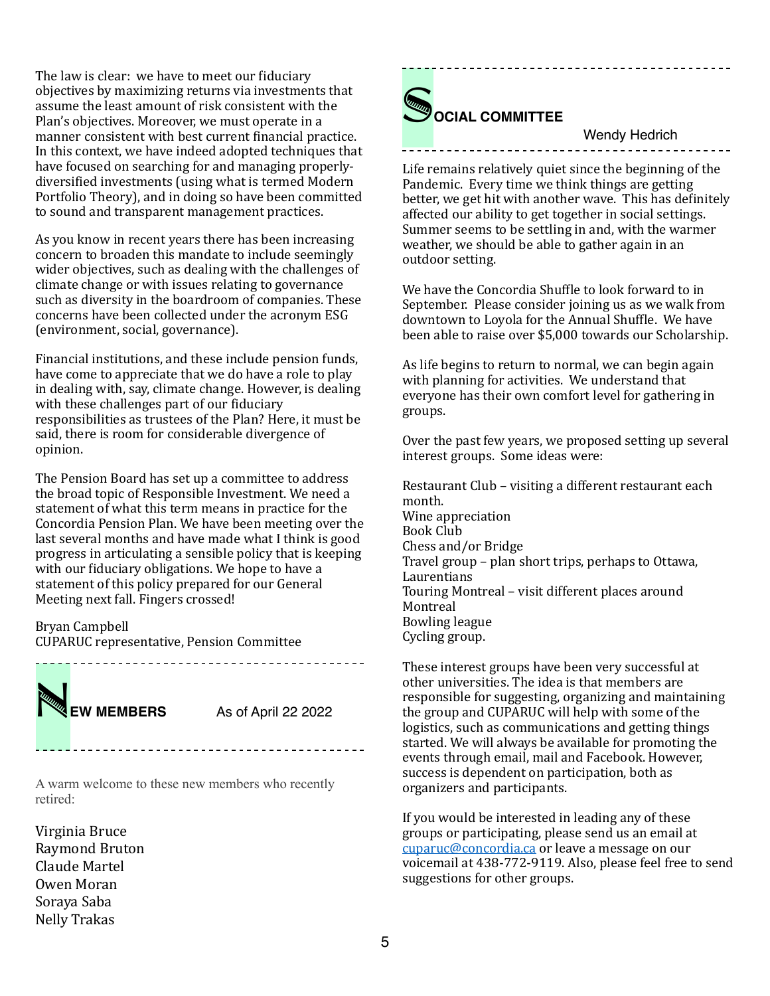The law is clear: we have to meet our fiduciary objectives by maximizing returns via investments that assume the least amount of risk consistent with the Plan's objectives. Moreover, we must operate in a manner consistent with best current financial practice. In this context, we have indeed adopted techniques that have focused on searching for and managing properlydiversified investments (using what is termed Modern Portfolio Theory), and in doing so have been committed to sound and transparent management practices.

As you know in recent years there has been increasing concern to broaden this mandate to include seemingly wider objectives, such as dealing with the challenges of climate change or with issues relating to governance such as diversity in the boardroom of companies. These concerns have been collected under the acronym ESG (environment, social, governance).

Financial institutions, and these include pension funds, have come to appreciate that we do have a role to play in dealing with, say, climate change. However, is dealing with these challenges part of our fiduciary responsibilities as trustees of the Plan? Here, it must be said, there is room for considerable divergence of opinion. 

The Pension Board has set up a committee to address the broad topic of Responsible Investment. We need a statement of what this term means in practice for the Concordia Pension Plan. We have been meeting over the last several months and have made what I think is good progress in articulating a sensible policy that is keeping with our fiduciary obligations. We hope to have a statement of this policy prepared for our General Meeting next fall. Fingers crossed!

Bryan Campbell CUPARUC representative, Pension Committee 

**EW MEMBERS** As of April 22 2022

A warm welcome to these new members who recently retired:

Virginia Bruce Raymond Bruton Claude Martel Owen Moran Soraya Saba Nelly Trakas



#### Wendy Hedrich

Life remains relatively quiet since the beginning of the Pandemic. Every time we think things are getting better, we get hit with another wave. This has definitely affected our ability to get together in social settings. Summer seems to be settling in and, with the warmer weather, we should be able to gather again in an outdoor setting.

We have the Concordia Shuffle to look forward to in September. Please consider joining us as we walk from downtown to Loyola for the Annual Shuffle. We have been able to raise over \$5,000 towards our Scholarship.

As life begins to return to normal, we can begin again with planning for activities. We understand that everyone has their own comfort level for gathering in groups. 

Over the past few years, we proposed setting up several interest groups. Some ideas were:

Restaurant Club - visiting a different restaurant each month. Wine appreciation Book Club Chess and/or Bridge Travel group – plan short trips, perhaps to Ottawa, Laurentians Touring Montreal - visit different places around Montreal **Bowling league** Cycling group.

These interest groups have been very successful at other universities. The idea is that members are responsible for suggesting, organizing and maintaining the group and CUPARUC will help with some of the logistics, such as communications and getting things started. We will always be available for promoting the events through email, mail and Facebook. However, success is dependent on participation, both as organizers and participants.

If you would be interested in leading any of these groups or participating, please send us an email at [cuparuc@concordia.ca](mailto:cuparuc@concordia.ca) or leave a message on our voicemail at 438-772-9119. Also, please feel free to send suggestions for other groups.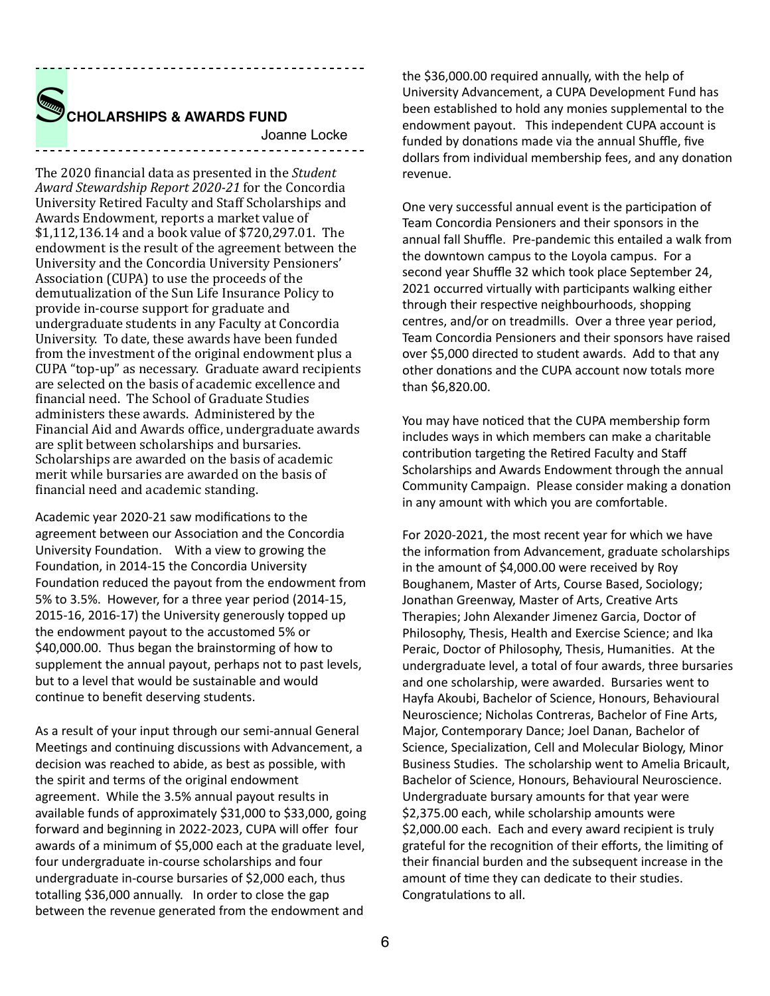

The 2020 financial data as presented in the *Student* Award Stewardship Report 2020-21 for the Concordia University Retired Faculty and Staff Scholarships and Awards Endowment, reports a market value of  $$1,112,136.14$  and a book value of  $$720,297.01$ . The endowment is the result of the agreement between the University and the Concordia University Pensioners' Association (CUPA) to use the proceeds of the demutualization of the Sun Life Insurance Policy to provide in-course support for graduate and undergraduate students in any Faculty at Concordia University. To date, these awards have been funded from the investment of the original endowment plus a CUPA "top-up" as necessary. Graduate award recipients are selected on the basis of academic excellence and financial need. The School of Graduate Studies administers these awards. Administered by the Financial Aid and Awards office, undergraduate awards are split between scholarships and bursaries. Scholarships are awarded on the basis of academic merit while bursaries are awarded on the basis of financial need and academic standing.

Academic year 2020-21 saw modifications to the agreement between our Association and the Concordia University Foundation. With a view to growing the Foundation, in 2014-15 the Concordia University Foundation reduced the payout from the endowment from 5% to 3.5%. However, for a three year period (2014-15, 2015-16, 2016-17) the University generously topped up the endowment payout to the accustomed 5% or \$40,000.00. Thus began the brainstorming of how to supplement the annual payout, perhaps not to past levels, but to a level that would be sustainable and would continue to benefit deserving students.

As a result of your input through our semi-annual General Meetings and continuing discussions with Advancement, a decision was reached to abide, as best as possible, with the spirit and terms of the original endowment agreement. While the 3.5% annual payout results in available funds of approximately \$31,000 to \$33,000, going forward and beginning in 2022-2023, CUPA will offer four awards of a minimum of \$5,000 each at the graduate level, four undergraduate in-course scholarships and four undergraduate in-course bursaries of \$2,000 each, thus totalling \$36,000 annually. In order to close the gap between the revenue generated from the endowment and

the \$36,000.00 required annually, with the help of University Advancement, a CUPA Development Fund has been established to hold any monies supplemental to the endowment payout. This independent CUPA account is funded by donations made via the annual Shuffle, five dollars from individual membership fees, and any donation revenue. 

One very successful annual event is the participation of Team Concordia Pensioners and their sponsors in the annual fall Shuffle. Pre-pandemic this entailed a walk from the downtown campus to the Loyola campus. For a second year Shuffle 32 which took place September 24, 2021 occurred virtually with participants walking either through their respective neighbourhoods, shopping centres, and/or on treadmills. Over a three year period, Team Concordia Pensioners and their sponsors have raised over \$5,000 directed to student awards. Add to that any other donations and the CUPA account now totals more than \$6,820.00. 

You may have noticed that the CUPA membership form includes ways in which members can make a charitable contribution targeting the Retired Faculty and Staff Scholarships and Awards Endowment through the annual Community Campaign. Please consider making a donation in any amount with which you are comfortable.

For 2020-2021, the most recent year for which we have the information from Advancement, graduate scholarships in the amount of  $$4,000.00$  were received by Roy Boughanem, Master of Arts, Course Based, Sociology; Jonathan Greenway, Master of Arts, Creative Arts Therapies; John Alexander Jimenez Garcia, Doctor of Philosophy, Thesis, Health and Exercise Science; and Ika Peraic, Doctor of Philosophy, Thesis, Humanities. At the undergraduate level, a total of four awards, three bursaries and one scholarship, were awarded. Bursaries went to Hayfa Akoubi, Bachelor of Science, Honours, Behavioural Neuroscience; Nicholas Contreras, Bachelor of Fine Arts, Major, Contemporary Dance; Joel Danan, Bachelor of Science, Specialization, Cell and Molecular Biology, Minor Business Studies. The scholarship went to Amelia Bricault, Bachelor of Science, Honours, Behavioural Neuroscience. Undergraduate bursary amounts for that year were \$2,375.00 each, while scholarship amounts were \$2,000.00 each. Each and every award recipient is truly grateful for the recognition of their efforts, the limiting of their financial burden and the subsequent increase in the amount of time they can dedicate to their studies. Congratulations to all.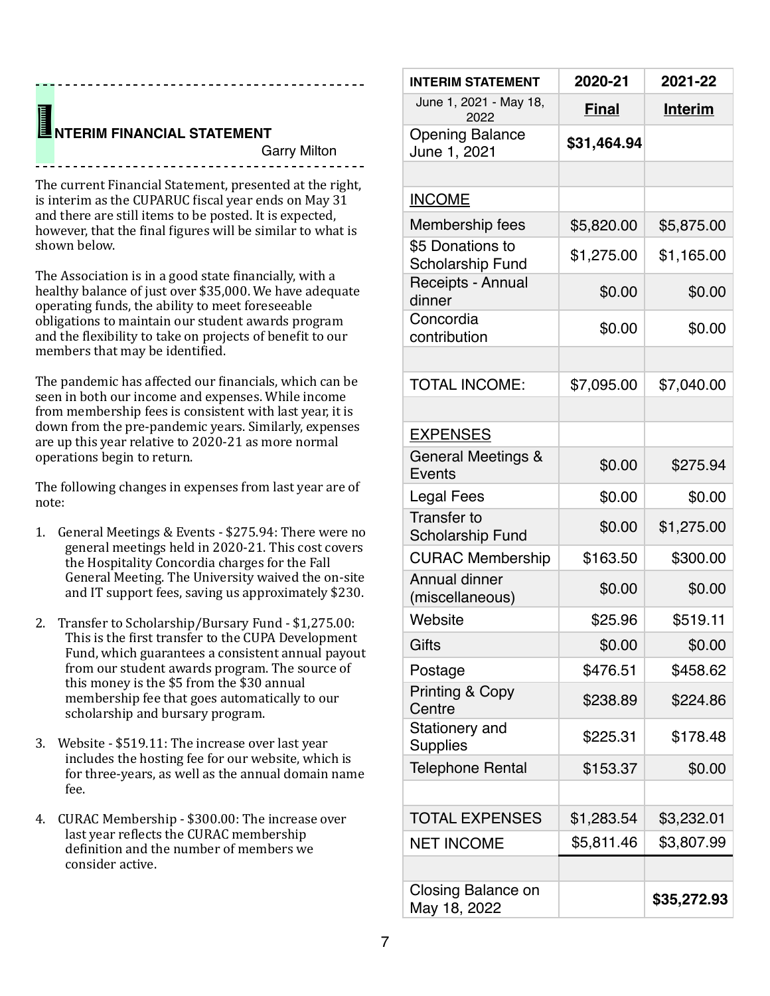# **INTERIM FINANCIAL STATEMENT**<br>Garry Milto

Garry Milton

The current Financial Statement, presented at the right, is interim as the CUPARUC fiscal year ends on May  $31$ and there are still items to be posted. It is expected, however, that the final figures will be similar to what is shown helow.

------------------------------------

The Association is in a good state financially, with a healthy balance of just over \$35,000. We have adequate operating funds, the ability to meet foreseeable obligations to maintain our student awards program and the flexibility to take on projects of benefit to our members that may be identified.

The pandemic has affected our financials, which can be seen in both our income and expenses. While income from membership fees is consistent with last year, it is down from the pre-pandemic vears. Similarly, expenses are up this year relative to 2020-21 as more normal operations begin to return.

The following changes in expenses from last year are of note:

- 1. General Meetings & Events \$275.94: There were no general meetings held in 2020-21. This cost covers the Hospitality Concordia charges for the Fall General Meeting. The University waived the on-site and IT support fees, saving us approximately \$230.
- 2. Transfer to Scholarship/Bursary Fund \$1,275.00: This is the first transfer to the CUPA Development Fund, which guarantees a consistent annual payout from our student awards program. The source of this money is the \$5 from the \$30 annual membership fee that goes automatically to our scholarship and bursary program.
- 3. Website \$519.11: The increase over last year includes the hosting fee for our website, which is for three-years, as well as the annual domain name fee.
- 4. CURAC Membership \$300.00: The increase over last year reflects the CURAC membership definition and the number of members we consider active.

| <b>INTERIM STATEMENT</b>                      | 2020-21      | 2021-22        |
|-----------------------------------------------|--------------|----------------|
| June 1, 2021 - May 18,<br>2022                | <b>Final</b> | <b>Interim</b> |
| <b>Opening Balance</b><br>June 1, 2021        | \$31,464.94  |                |
|                                               |              |                |
| <b>INCOME</b>                                 |              |                |
| Membership fees                               | \$5,820.00   | \$5,875.00     |
| \$5 Donations to<br><b>Scholarship Fund</b>   | \$1,275.00   | \$1,165.00     |
| Receipts - Annual<br>dinner                   | \$0.00       | \$0.00         |
| Concordia<br>contribution                     | \$0.00       | \$0.00         |
|                                               |              |                |
| <b>TOTAL INCOME:</b>                          | \$7,095.00   | \$7,040.00     |
|                                               |              |                |
| <b>EXPENSES</b>                               |              |                |
| General Meetings &<br>Events                  | \$0.00       | \$275.94       |
| Legal Fees                                    | \$0.00       | \$0.00         |
| <b>Transfer to</b><br><b>Scholarship Fund</b> | \$0.00       | \$1,275.00     |
| <b>CURAC Membership</b>                       | \$163.50     | \$300.00       |
| Annual dinner<br>(miscellaneous)              | \$0.00       | \$0.00         |
| Website                                       | \$25.96      | \$519.11       |
| Gifts                                         | \$0.00       | \$0.00         |
| Postage                                       | \$476.51     | \$458.62       |
| <b>Printing &amp; Copy</b><br>Centre          | \$238.89     | \$224.86       |
| Stationery and<br>Supplies                    | \$225.31     | \$178.48       |
| <b>Telephone Rental</b>                       | \$153.37     | \$0.00         |
| <b>TOTAL EXPENSES</b>                         | \$1,283.54   | \$3,232.01     |
| <b>NET INCOME</b>                             | \$5,811.46   | \$3,807.99     |
|                                               |              |                |
| Closing Balance on<br>May 18, 2022            |              | \$35,272.93    |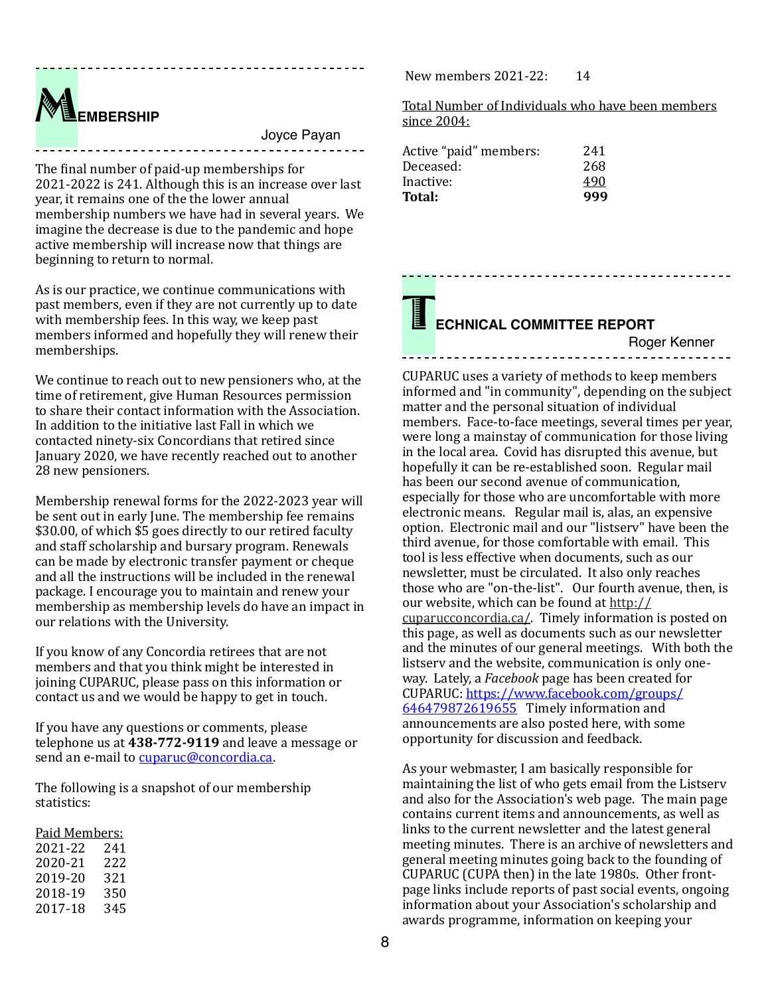M**EMBERSHIP**

Joyce Payan

The final number of paid-up memberships for 2021-2022 is 241. Although this is an increase over last year, it remains one of the the lower annual membership numbers we have had in several years. We imagine the decrease is due to the pandemic and hope active membership will increase now that things are beginning to return to normal.

As is our practice, we continue communications with past members, even if they are not currently up to date with membership fees. In this way, we keep past members informed and hopefully they will renew their memberships. 

We continue to reach out to new pensioners who, at the time of retirement, give Human Resources permission to share their contact information with the Association. In addition to the initiative last Fall in which we contacted ninety-six Concordians that retired since January 2020, we have recently reached out to another 28 new pensioners.

Membership renewal forms for the 2022-2023 year will be sent out in early June. The membership fee remains \$30.00, of which \$5 goes directly to our retired faculty and staff scholarship and bursary program. Renewals can be made by electronic transfer payment or cheque and all the instructions will be included in the renewal package. I encourage you to maintain and renew your membership as membership levels do have an impact in our relations with the University.

If you know of any Concordia retirees that are not members and that you think might be interested in joining CUPARUC, please pass on this information or contact us and we would be happy to get in touch.

If you have any questions or comments, please telephone us at 438-772-9119 and leave a message or send an e-mail to [cuparuc@concordia.ca](mailto:cuparuc@concordia.ca).

The following is a snapshot of our membership statistics: 

Paid Members:

| 2021-22 | 241 |
|---------|-----|
| 2020-21 | 222 |
| 2019-20 | 321 |
| 2018-19 | 350 |
| 2017-18 | 345 |

New members  $2021-22: 14$ 

Total Number of Individuals who have been members since 2004:

| Active "paid" members: | 241 |
|------------------------|-----|
| Deceased:              | 268 |
| Inactive:              | 490 |
| Total:                 | 999 |

### T**ECHNICAL COMMITTEE REPORT**

Roger Kenner

CUPARUC uses a variety of methods to keep members informed and "in community", depending on the subject matter and the personal situation of individual members. Face-to-face meetings, several times per year, were long a mainstay of communication for those living in the local area. Covid has disrupted this avenue, but hopefully it can be re-established soon. Regular mail has been our second avenue of communication, especially for those who are uncomfortable with more electronic means. Regular mail is, alas, an expensive option. Electronic mail and our "listsery" have been the third avenue, for those comfortable with email. This tool is less effective when documents, such as our newsletter, must be circulated. It also only reaches those who are "on-the-list". Our fourth avenue, then, is our website, which can be found at [http://](http://cuparucconcordia.ca/) [cuparucconcordia.ca/](http://cuparucconcordia.ca/). Timely information is posted on this page, as well as documents such as our newsletter and the minutes of our general meetings. With both the listserv and the website, communication is only oneway. Lately, a *Facebook* page has been created for [CUPARUC: https://www.facebook.com/groups/](https://www.facebook.com/groups/646479872619655) [646479872619655](https://www.facebook.com/groups/646479872619655) Timely information and announcements are also posted here, with some opportunity for discussion and feedback.

As your webmaster, I am basically responsible for maintaining the list of who gets email from the Listserv and also for the Association's web page. The main page contains current items and announcements, as well as links to the current newsletter and the latest general meeting minutes. There is an archive of newsletters and general meeting minutes going back to the founding of CUPARUC (CUPA then) in the late 1980s. Other frontpage links include reports of past social events, ongoing information about your Association's scholarship and awards programme, information on keeping your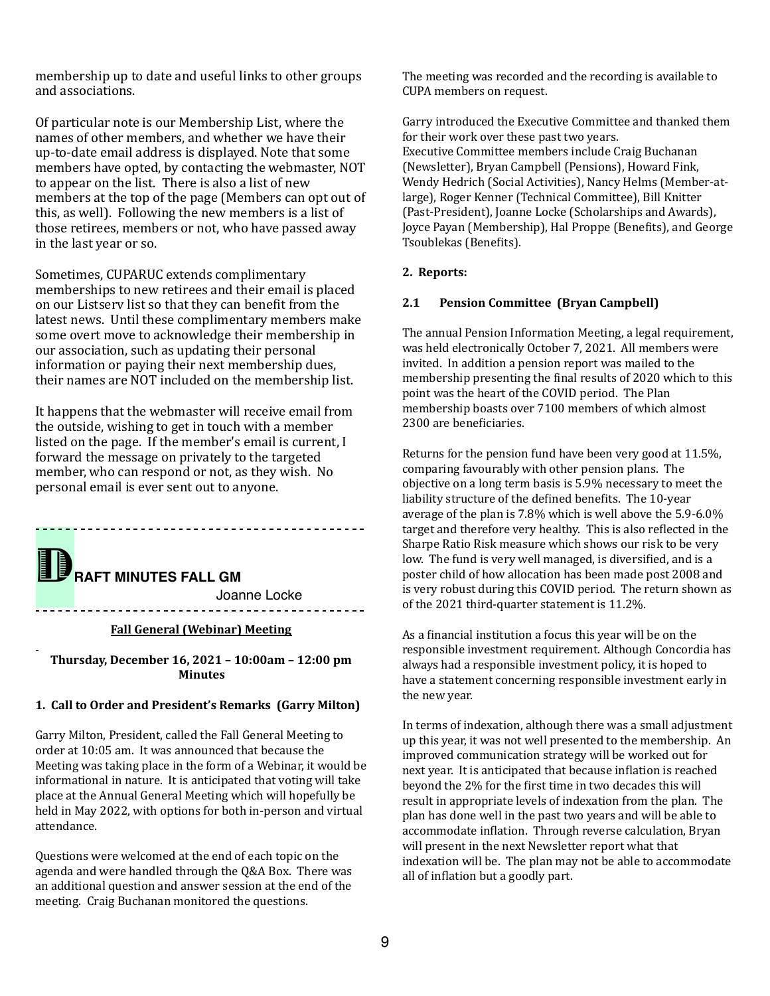membership up to date and useful links to other groups and associations.

Of particular note is our Membership List, where the names of other members, and whether we have their up-to-date email address is displayed. Note that some members have opted, by contacting the webmaster, NOT to appear on the list. There is also a list of new members at the top of the page (Members can opt out of this, as well). Following the new members is a list of those retirees, members or not, who have passed away in the last year or so.

Sometimes, CUPARUC extends complimentary memberships to new retirees and their email is placed on our Listserv list so that they can benefit from the latest news. Until these complimentary members make some overt move to acknowledge their membership in our association, such as updating their personal information or paying their next membership dues, their names are NOT included on the membership list.

It happens that the webmaster will receive email from the outside, wishing to get in touch with a member listed on the page. If the member's email is current, I forward the message on privately to the targeted member, who can respond or not, as they wish. No personal email is ever sent out to anyone.

**RAFT MINUTES FALL GM** 

Joanne Locke

-------------------------------------

#### -**Fall General (Webinar) Meeting**

Thursday, December 16, 2021 - 10:00am - 12:00 pm **Minutes**

#### 1. Call to Order and President's Remarks (Garry Milton)

Garry Milton, President, called the Fall General Meeting to order at 10:05 am. It was announced that because the Meeting was taking place in the form of a Webinar, it would be informational in nature. It is anticipated that voting will take place at the Annual General Meeting which will hopefully be held in May 2022, with options for both in-person and virtual attendance. 

Questions were welcomed at the end of each topic on the agenda and were handled through the Q&A Box. There was an additional question and answer session at the end of the meeting. Craig Buchanan monitored the questions.

The meeting was recorded and the recording is available to CUPA members on request.

Garry introduced the Executive Committee and thanked them for their work over these past two years. Executive Committee members include Craig Buchanan (Newsletter), Bryan Campbell (Pensions), Howard Fink, Wendy Hedrich (Social Activities), Nancy Helms (Member-atlarge), Roger Kenner (Technical Committee), Bill Knitter (Past-President), Joanne Locke (Scholarships and Awards), Joyce Payan (Membership), Hal Proppe (Benefits), and George Tsoublekas (Benefits).

#### **2. Reports:**

#### **2.1 Pension Committee (Bryan Campbell)**

The annual Pension Information Meeting, a legal requirement, was held electronically October 7, 2021. All members were invited. In addition a pension report was mailed to the membership presenting the final results of 2020 which to this point was the heart of the COVID period. The Plan membership boasts over 7100 members of which almost 2300 are beneficiaries.

Returns for the pension fund have been very good at  $11.5\%$ . comparing favourably with other pension plans. The objective on a long term basis is 5.9% necessary to meet the liability structure of the defined benefits. The 10-year average of the plan is  $7.8\%$  which is well above the  $5.9-6.0\%$ target and therefore very healthy. This is also reflected in the Sharpe Ratio Risk measure which shows our risk to be very low. The fund is very well managed, is diversified, and is a poster child of how allocation has been made post 2008 and is very robust during this COVID period. The return shown as of the 2021 third-quarter statement is 11.2%.

As a financial institution a focus this year will be on the responsible investment requirement. Although Concordia has always had a responsible investment policy, it is hoped to have a statement concerning responsible investment early in the new year.

In terms of indexation, although there was a small adjustment up this year, it was not well presented to the membership. An improved communication strategy will be worked out for next vear. It is anticipated that because inflation is reached beyond the 2% for the first time in two decades this will result in appropriate levels of indexation from the plan. The plan has done well in the past two years and will be able to .<br>accommodate inflation. Through reverse calculation, Bryan will present in the next Newsletter report what that indexation will be. The plan may not be able to accommodate all of inflation but a goodly part.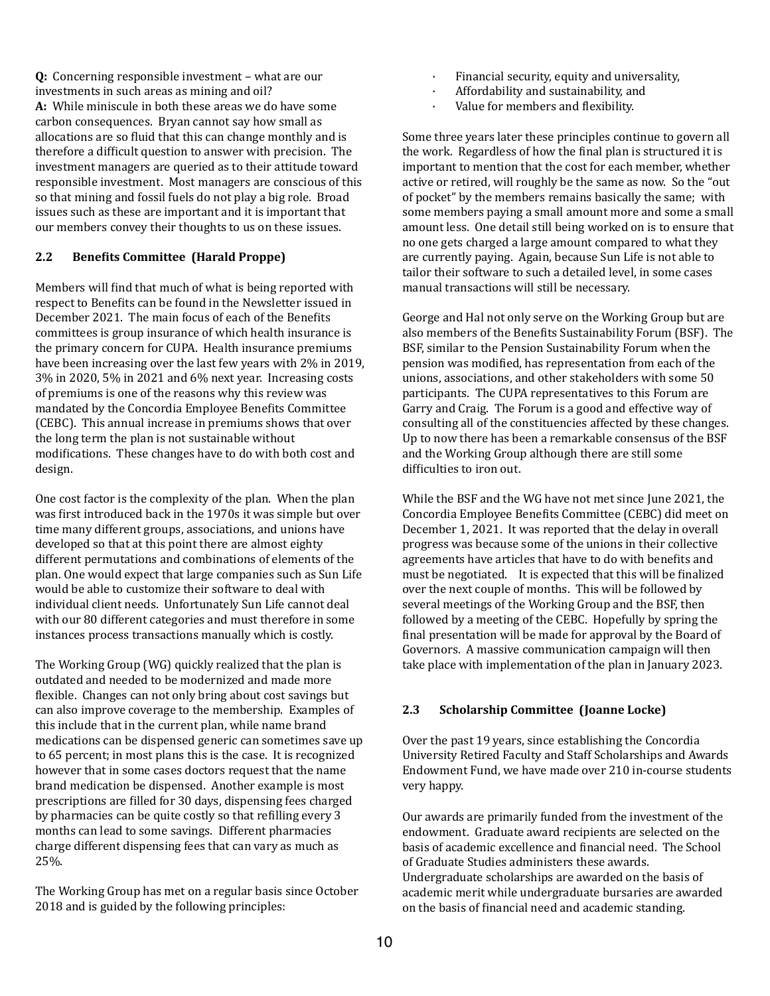**Q:** Concerning responsible investment – what are our investments in such areas as mining and oil? **A:** While miniscule in both these areas we do have some carbon consequences. Bryan cannot say how small as allocations are so fluid that this can change monthly and is therefore a difficult question to answer with precision. The investment managers are queried as to their attitude toward responsible investment. Most managers are conscious of this so that mining and fossil fuels do not play a big role. Broad issues such as these are important and it is important that our members convey their thoughts to us on these issues.

#### **2.2** Benefits Committee (Harald Proppe)

Members will find that much of what is being reported with respect to Benefits can be found in the Newsletter issued in December 2021. The main focus of each of the Benefits committees is group insurance of which health insurance is the primary concern for CUPA. Health insurance premiums have been increasing over the last few years with 2% in 2019,  $3\%$  in 2020, 5% in 2021 and 6% next year. Increasing costs of premiums is one of the reasons why this review was mandated by the Concordia Employee Benefits Committee (CEBC). This annual increase in premiums shows that over the long term the plan is not sustainable without modifications. These changes have to do with both cost and design. 

One cost factor is the complexity of the plan. When the plan was first introduced back in the 1970s it was simple but over time many different groups, associations, and unions have developed so that at this point there are almost eighty different permutations and combinations of elements of the plan. One would expect that large companies such as Sun Life would be able to customize their software to deal with individual client needs. Unfortunately Sun Life cannot deal with our 80 different categories and must therefore in some instances process transactions manually which is costly.

The Working Group (WG) quickly realized that the plan is outdated and needed to be modernized and made more flexible. Changes can not only bring about cost savings but can also improve coverage to the membership. Examples of this include that in the current plan, while name brand medications can be dispensed generic can sometimes save up to 65 percent; in most plans this is the case. It is recognized however that in some cases doctors request that the name brand medication be dispensed. Another example is most prescriptions are filled for 30 days, dispensing fees charged by pharmacies can be quite costly so that refilling every 3 months can lead to some savings. Different pharmacies charge different dispensing fees that can vary as much as 25%. 

The Working Group has met on a regular basis since October 2018 and is guided by the following principles:

- Financial security, equity and universality,
- Affordability and sustainability, and
- Value for members and flexibility.

Some three years later these principles continue to govern all the work. Regardless of how the final plan is structured it is important to mention that the cost for each member, whether active or retired, will roughly be the same as now. So the "out of pocket" by the members remains basically the same; with some members paying a small amount more and some a small amount less. One detail still being worked on is to ensure that no one gets charged a large amount compared to what they are currently paying. Again, because Sun Life is not able to tailor their software to such a detailed level, in some cases manual transactions will still be necessary.

George and Hal not only serve on the Working Group but are also members of the Benefits Sustainability Forum (BSF). The BSF, similar to the Pension Sustainability Forum when the pension was modified, has representation from each of the unions, associations, and other stakeholders with some 50 participants. The CUPA representatives to this Forum are Garry and Craig. The Forum is a good and effective way of consulting all of the constituencies affected by these changes. Up to now there has been a remarkable consensus of the BSF and the Working Group although there are still some difficulties to iron out.

While the BSF and the WG have not met since June 2021, the Concordia Employee Benefits Committee (CEBC) did meet on December 1, 2021. It was reported that the delay in overall progress was because some of the unions in their collective agreements have articles that have to do with benefits and must be negotiated. It is expected that this will be finalized over the next couple of months. This will be followed by several meetings of the Working Group and the BSF then followed by a meeting of the CEBC. Hopefully by spring the final presentation will be made for approval by the Board of Governors. A massive communication campaign will then take place with implementation of the plan in January 2023.

#### **2.3 Scholarship Committee (Joanne Locke)**

Over the past 19 years, since establishing the Concordia University Retired Faculty and Staff Scholarships and Awards Endowment Fund, we have made over 210 in-course students very happy.

Our awards are primarily funded from the investment of the endowment. Graduate award recipients are selected on the basis of academic excellence and financial need. The School of Graduate Studies administers these awards. Undergraduate scholarships are awarded on the basis of academic merit while undergraduate bursaries are awarded on the basis of financial need and academic standing.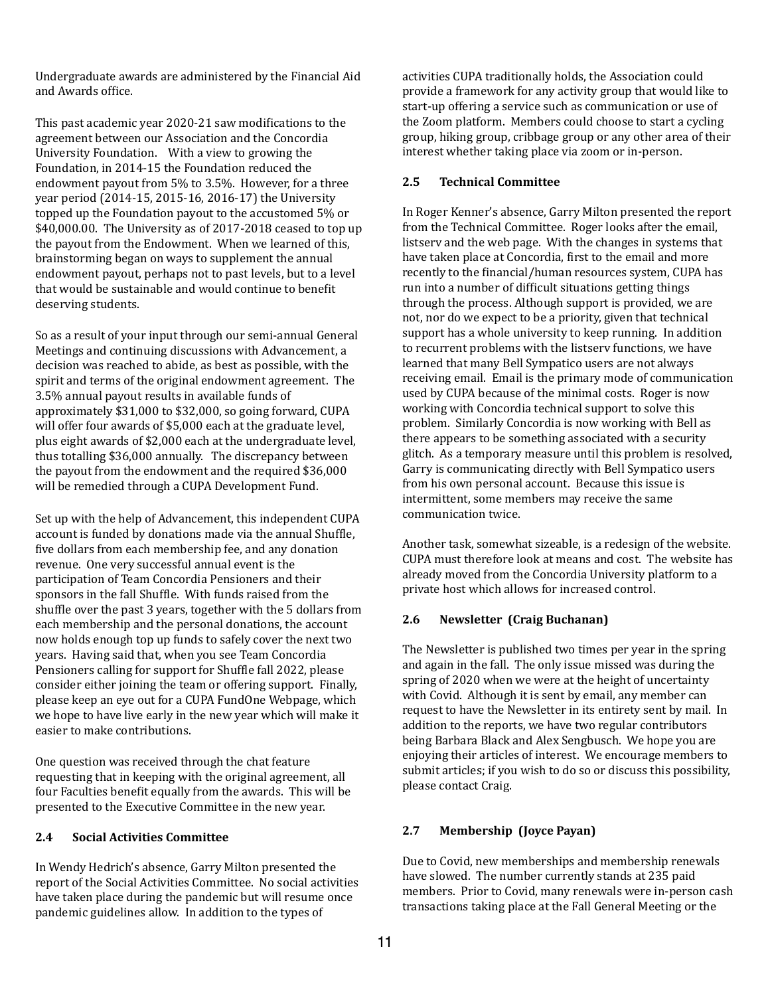Undergraduate awards are administered by the Financial Aid and Awards office.

This past academic year 2020-21 saw modifications to the agreement between our Association and the Concordia University Foundation. With a view to growing the Foundation, in 2014-15 the Foundation reduced the endowment payout from 5% to 3.5%. However, for a three year period (2014-15, 2015-16, 2016-17) the University topped up the Foundation payout to the accustomed 5% or  $$40,000.00$ . The University as of 2017-2018 ceased to top up the payout from the Endowment. When we learned of this, brainstorming began on ways to supplement the annual endowment payout, perhaps not to past levels, but to a level that would be sustainable and would continue to benefit deserving students.

So as a result of your input through our semi-annual General Meetings and continuing discussions with Advancement, a decision was reached to abide, as best as possible, with the spirit and terms of the original endowment agreement. The 3.5% annual payout results in available funds of approximately \$31,000 to \$32,000, so going forward, CUPA will offer four awards of \$5,000 each at the graduate level, plus eight awards of  $$2,000$  each at the undergraduate level, thus totalling \$36,000 annually. The discrepancy between the payout from the endowment and the required \$36,000 will be remedied through a CUPA Development Fund.

Set up with the help of Advancement, this independent CUPA account is funded by donations made via the annual Shuffle, five dollars from each membership fee, and any donation revenue. One very successful annual event is the participation of Team Concordia Pensioners and their sponsors in the fall Shuffle. With funds raised from the shuffle over the past 3 years, together with the 5 dollars from each membership and the personal donations, the account now holds enough top up funds to safely cover the next two years. Having said that, when you see Team Concordia Pensioners calling for support for Shuffle fall 2022, please consider either joining the team or offering support. Finally, please keep an eye out for a CUPA FundOne Webpage, which we hope to have live early in the new year which will make it easier to make contributions.

One question was received through the chat feature requesting that in keeping with the original agreement, all four Faculties benefit equally from the awards. This will be presented to the Executive Committee in the new year.

#### **2.4 Social Activities Committee**

In Wendy Hedrich's absence, Garry Milton presented the report of the Social Activities Committee. No social activities have taken place during the pandemic but will resume once pandemic guidelines allow. In addition to the types of

activities CUPA traditionally holds, the Association could provide a framework for any activity group that would like to start-up offering a service such as communication or use of the Zoom platform. Members could choose to start a cycling group, hiking group, cribbage group or any other area of their interest whether taking place via zoom or in-person.

#### **2.5 Technical Committee**

In Roger Kenner's absence, Garry Milton presented the report from the Technical Committee. Roger looks after the email, listsery and the web page. With the changes in systems that have taken place at Concordia, first to the email and more recently to the financial/human resources system, CUPA has run into a number of difficult situations getting things through the process. Although support is provided, we are not, nor do we expect to be a priority, given that technical support has a whole university to keep running. In addition to recurrent problems with the listsery functions, we have learned that many Bell Sympatico users are not always receiving email. Email is the primary mode of communication used by CUPA because of the minimal costs. Roger is now working with Concordia technical support to solve this problem. Similarly Concordia is now working with Bell as there appears to be something associated with a security glitch. As a temporary measure until this problem is resolved, Garry is communicating directly with Bell Sympatico users from his own personal account. Because this issue is intermittent, some members may receive the same communication twice.

Another task, somewhat sizeable, is a redesign of the website. CUPA must therefore look at means and cost. The website has already moved from the Concordia University platform to a private host which allows for increased control.

#### **2.6** Newsletter (Craig Buchanan)

The Newsletter is published two times per year in the spring and again in the fall. The only issue missed was during the spring of 2020 when we were at the height of uncertainty with Covid. Although it is sent by email, any member can request to have the Newsletter in its entirety sent by mail. In addition to the reports, we have two regular contributors being Barbara Black and Alex Sengbusch. We hope you are enjoving their articles of interest. We encourage members to submit articles; if you wish to do so or discuss this possibility, please contact Craig.

#### **2.7 Membership (Joyce Payan)**

Due to Covid, new memberships and membership renewals have slowed. The number currently stands at 235 paid members. Prior to Covid, many renewals were in-person cash transactions taking place at the Fall General Meeting or the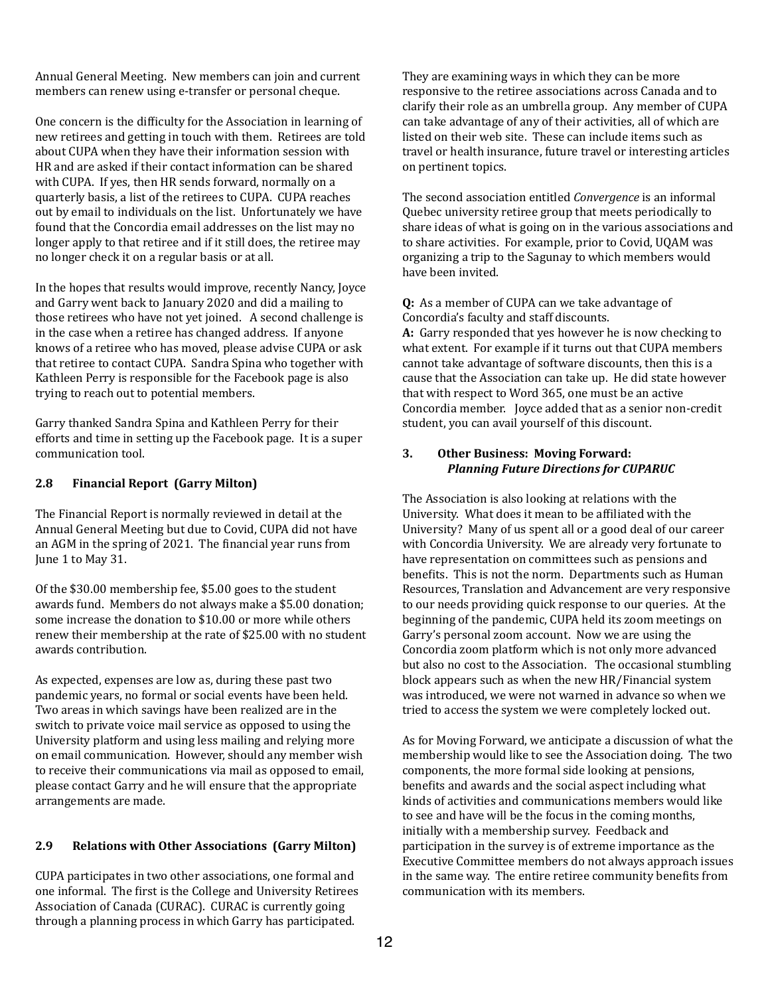Annual General Meeting. New members can join and current members can renew using e-transfer or personal cheque.

One concern is the difficulty for the Association in learning of new retirees and getting in touch with them. Retirees are told about CUPA when they have their information session with HR and are asked if their contact information can be shared with CUPA. If yes, then HR sends forward, normally on a quarterly basis, a list of the retirees to CUPA. CUPA reaches out by email to individuals on the list. Unfortunately we have found that the Concordia email addresses on the list may no longer apply to that retiree and if it still does, the retiree may no longer check it on a regular basis or at all.

In the hopes that results would improve, recently Nancy, Joyce and Garry went back to January 2020 and did a mailing to those retirees who have not yet joined. A second challenge is in the case when a retiree has changed address. If anyone knows of a retiree who has moved, please advise CUPA or ask that retiree to contact CUPA. Sandra Spina who together with Kathleen Perry is responsible for the Facebook page is also trying to reach out to potential members.

Garry thanked Sandra Spina and Kathleen Perry for their efforts and time in setting up the Facebook page. It is a super communication tool.

#### **2.8 Financial Report (Garry Milton)**

The Financial Report is normally reviewed in detail at the Annual General Meeting but due to Covid, CUPA did not have an AGM in the spring of 2021. The financial year runs from June 1 to May 31.

Of the \$30.00 membership fee, \$5.00 goes to the student awards fund. Members do not always make a \$5.00 donation: some increase the donation to \$10.00 or more while others renew their membership at the rate of \$25.00 with no student awards contribution.

As expected, expenses are low as, during these past two pandemic years, no formal or social events have been held. Two areas in which savings have been realized are in the switch to private voice mail service as opposed to using the University platform and using less mailing and relying more on email communication. However, should any member wish to receive their communications via mail as opposed to email. please contact Garry and he will ensure that the appropriate arrangements are made.

#### **2.9 Relations with Other Associations (Garry Milton)**

CUPA participates in two other associations, one formal and one informal. The first is the College and University Retirees Association of Canada (CURAC). CURAC is currently going through a planning process in which Garry has participated.

They are examining ways in which they can be more responsive to the retiree associations across Canada and to clarify their role as an umbrella group. Any member of CUPA can take advantage of any of their activities, all of which are listed on their web site. These can include items such as travel or health insurance, future travel or interesting articles on pertinent topics.

The second association entitled *Convergence* is an informal Quebec university retiree group that meets periodically to share ideas of what is going on in the various associations and to share activities. For example, prior to Covid, UQAM was organizing a trip to the Sagunay to which members would have been invited.

**Q:** As a member of CUPA can we take advantage of Concordia's faculty and staff discounts.

**A:** Garry responded that yes however he is now checking to what extent. For example if it turns out that CUPA members cannot take advantage of software discounts, then this is a cause that the Association can take up. He did state however that with respect to Word 365, one must be an active Concordia member. Joyce added that as a senior non-credit student, you can avail yourself of this discount.

#### **3.** Other Business: Moving Forward: *Planning Future Directions for CUPARUC*

The Association is also looking at relations with the University. What does it mean to be affiliated with the University? Many of us spent all or a good deal of our career with Concordia University. We are already very fortunate to have representation on committees such as pensions and benefits. This is not the norm. Departments such as Human Resources, Translation and Advancement are very responsive to our needs providing quick response to our queries. At the beginning of the pandemic, CUPA held its zoom meetings on Garry's personal zoom account. Now we are using the Concordia zoom platform which is not only more advanced but also no cost to the Association. The occasional stumbling block appears such as when the new HR/Financial system was introduced, we were not warned in advance so when we tried to access the system we were completely locked out.

As for Moving Forward, we anticipate a discussion of what the membership would like to see the Association doing. The two components, the more formal side looking at pensions, benefits and awards and the social aspect including what kinds of activities and communications members would like to see and have will be the focus in the coming months, initially with a membership survey. Feedback and participation in the survey is of extreme importance as the Executive Committee members do not always approach issues in the same way. The entire retiree community benefits from communication with its members.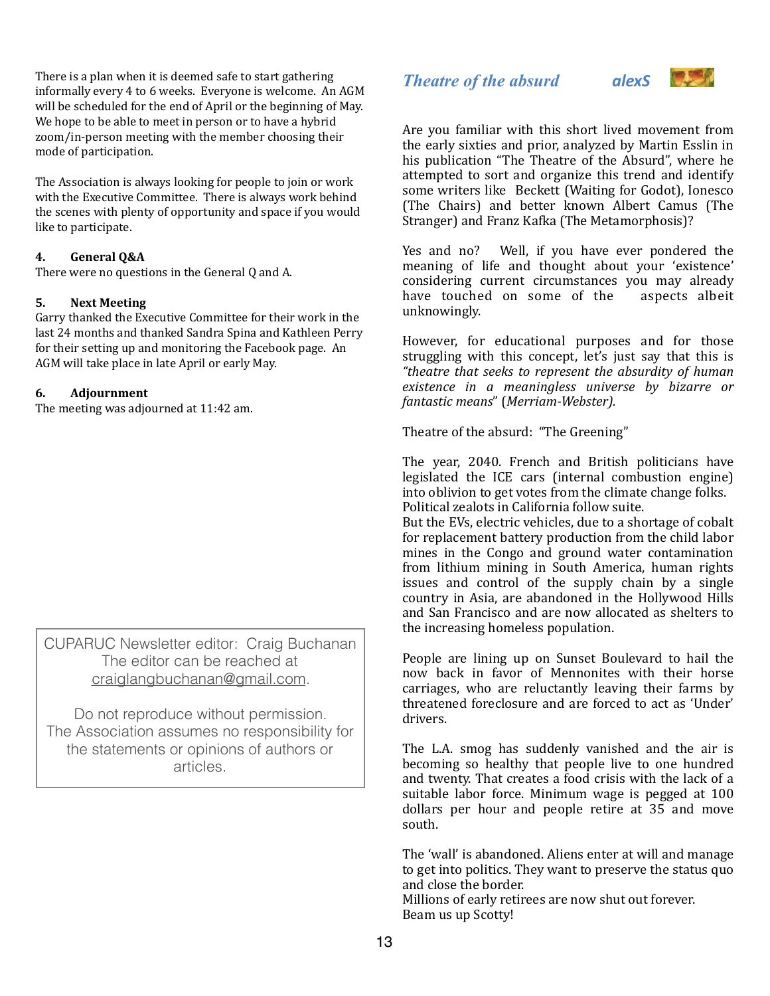There is a plan when it is deemed safe to start gathering informally every 4 to 6 weeks. Everyone is welcome. An AGM will be scheduled for the end of April or the beginning of May. We hope to be able to meet in person or to have a hybrid zoom/in-person meeting with the member choosing their mode of participation.

The Association is always looking for people to join or work with the Executive Committee. There is always work behind the scenes with plenty of opportunity and space if you would like to participate.

#### **4. General Q&A**

There were no questions in the General O and A.

#### **5.** Next Meeting

Garry thanked the Executive Committee for their work in the last 24 months and thanked Sandra Spina and Kathleen Perry for their setting up and monitoring the Facebook page. An AGM will take place in late April or early May.

#### **6. Adjournment**

The meeting was adjourned at 11:42 am.

CUPARUC Newsletter editor: Craig Buchanan The editor can be reached at [craiglangbuchanan@gmail.com](mailto:craiglangbuchanan@gmail.com).

Do not reproduce without permission. The Association assumes no responsibility for the statements or opinions of authors or articles.

## *Theatre of the absurd alexS*



Are you familiar with this short lived movement from the early sixties and prior, analyzed by Martin Esslin in his publication "The Theatre of the Absurd", where he attempted to sort and organize this trend and identify some writers like Beckett (Waiting for Godot), Ionesco (The Chairs) and better known Albert Camus (The Stranger) and Franz Kafka (The Metamorphosis)?

Yes and no? Well, if you have ever pondered the meaning of life and thought about your 'existence' considering current circumstances you may already have touched on some of the aspects albeit unknowingly. 

However, for educational purposes and for those struggling with this concept, let's just say that this is *"theatre that seeks to represent the absurdity of human*  existence in a meaningless universe by bizarre or *fantastic means*" (*Merriam-Webster).*

Theatre of the absurd: "The Greening"

The year, 2040. French and British politicians have legislated the ICE cars (internal combustion engine) into oblivion to get votes from the climate change folks. Political zealots in California follow suite.

But the EVs, electric vehicles, due to a shortage of cobalt for replacement battery production from the child labor mines in the Congo and ground water contamination from lithium mining in South America, human rights issues and control of the supply chain by a single country in Asia, are abandoned in the Hollywood Hills and San Francisco and are now allocated as shelters to the increasing homeless population.

People are lining up on Sunset Boulevard to hail the now back in favor of Mennonites with their horse carriages, who are reluctantly leaving their farms by threatened foreclosure and are forced to act as 'Under' drivers. 

The L.A. smog has suddenly vanished and the air is becoming so healthy that people live to one hundred and twenty. That creates a food crisis with the lack of a suitable labor force. Minimum wage is pegged at 100 dollars per hour and people retire at 35 and move south. 

The 'wall' is abandoned. Aliens enter at will and manage to get into politics. They want to preserve the status quo and close the border.

Millions of early retirees are now shut out forever. Beam us up Scotty!